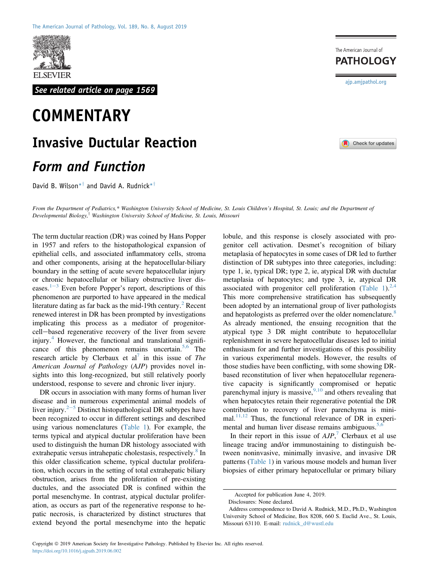

See related article on page 1569

# **COMMENTARY**

# Invasive Ductular Reaction

## Form and Function

David B. Wilson<sup>\*†</sup> and David A. Rudnick<sup>\*†</sup>

From the Department of Pediatrics,\* Washington University School of Medicine, St. Louis Children's Hospital, St. Louis; and the Department of Developmental Biology,<sup>†</sup> Washington University School of Medicine, St. Louis, Missouri

The term ductular reaction (DR) was coined by Hans Popper in 1957 and refers to the histopathological expansion of epithelial cells, and associated inflammatory cells, stroma and other components, arising at the hepatocellular-biliary boundary in the setting of acute severe hepatocellular injury or chronic hepatocellular or biliary obstructive liver diseases. $1-3$  $1-3$  $1-3$  Even before Popper's report, descriptions of this phenomenon are purported to have appeared in the medical literature dating as far back as the mid-19th century.<sup>[2](#page-2-1)</sup> Recent renewed interest in DR has been prompted by investigations implicating this process as a mediator of progenitorcell-based regenerative recovery of the liver from severe injury.<sup>[4](#page-2-2)</sup> However, the functional and translational signifi-cance of this phenomenon remains uncertain.<sup>[5,6](#page-2-3)</sup> The research article by Clerbaux et al<sup>[7](#page-2-4)</sup> in this issue of The American Journal of Pathology (AJP) provides novel insights into this long-recognized, but still relatively poorly understood, response to severe and chronic liver injury.

DR occurs in association with many forms of human liver disease and in numerous experimental animal models of liver injury. $2<sup>5</sup>$  $2<sup>5</sup>$  $2<sup>5</sup>$  $2<sup>5</sup>$  Distinct histopathological DR subtypes have been recognized to occur in different settings and described using various nomenclatures [\(Table 1](#page-1-0)). For example, the terms typical and atypical ductular proliferation have been used to distinguish the human DR histology associated with extrahepatic versus intrahepatic cholestasis, respectively.<sup>[8](#page-2-5)</sup> In this older classification scheme, typical ductular proliferation, which occurs in the setting of total extrahepatic biliary obstruction, arises from the proliferation of pre-existing ductules, and the associated DR is confined within the portal mesenchyme. In contrast, atypical ductular proliferation, as occurs as part of the regenerative response to hepatic necrosis, is characterized by distinct structures that extend beyond the portal mesenchyme into the hepatic

lobule, and this response is closely associated with progenitor cell activation. Desmet's recognition of biliary metaplasia of hepatocytes in some cases of DR led to further distinction of DR subtypes into three categories, including: type 1, ie, typical DR; type 2, ie, atypical DR with ductular metaplasia of hepatocytes; and type 3, ie, atypical DR associated with progenitor cell proliferation [\(Table 1\)](#page-1-0).<sup>[2,4](#page-2-1)</sup> This more comprehensive stratification has subsequently been adopted by an international group of liver pathologists and hepatologists as preferred over the older nomenclature.<sup>[8](#page-2-5)</sup> As already mentioned, the ensuing recognition that the atypical type 3 DR might contribute to hepatocellular replenishment in severe hepatocellular diseases led to initial enthusiasm for and further investigations of this possibility in various experimental models. However, the results of those studies have been conflicting, with some showing DRbased reconstitution of liver when hepatocellular regenerative capacity is significantly compromised or hepatic parenchymal injury is massive,  $9,10$  and others revealing that when hepatocytes retain their regenerative potential the DR contribution to recovery of liver parenchyma is minimal. $^{11,12}$  $^{11,12}$  $^{11,12}$  Thus, the functional relevance of DR in experimental and human liver disease remains ambiguous. $5,6$ 

In their report in this issue of  $AJP$ , Clerbaux et al use lineage tracing and/or immunostaining to distinguish between noninvasive, minimally invasive, and invasive DR patterns ([Table 1\)](#page-1-0) in various mouse models and human liver biopsies of either primary hepatocellular or primary biliary

[ajp.amjpathol.org](http://ajp.amjpathol.org)

The American Journal of **PATHOLOGY** 



Accepted for publication June 4, 2019.

Disclosures: None declared.

Address correspondence to David A. Rudnick, M.D., Ph.D., Washington University School of Medicine, Box 8208, 660 S. Euclid Ave., St. Louis, Missouri 63110. E-mail: [rudnick\\_d@wustl.edu](mailto:rudnick_d@wustl.edu)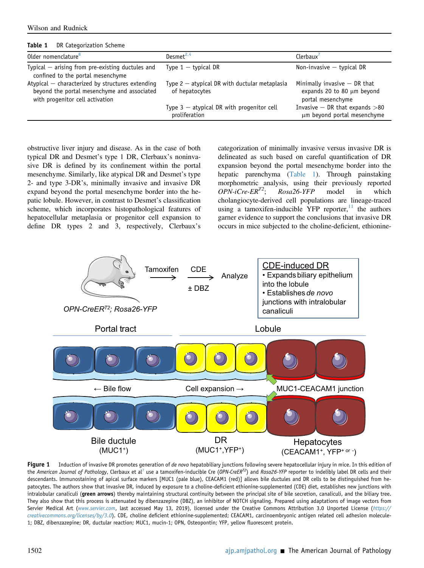|  |  | Wilson and Rudnick |
|--|--|--------------------|
|--|--|--------------------|

#### <span id="page-1-0"></span>Table 1 DR Categorization Scheme

| Older nomenclature <sup>8</sup>                                                                                                    | Desmet <sup>2,4</sup>                                             | Clerbaux'                                                                         |
|------------------------------------------------------------------------------------------------------------------------------------|-------------------------------------------------------------------|-----------------------------------------------------------------------------------|
| Typical $-$ arising from pre-existing ductules and<br>confined to the portal mesenchyme                                            | Type $1 -$ typical DR                                             | Non-invasive $-$ typical DR                                                       |
| Atypical - characterized by structures extending<br>beyond the portal mesenchyme and associated<br>with progenitor cell activation | Type $2$ – atypical DR with ductular metaplasia<br>of hepatocytes | Minimally invasive $-$ DR that<br>expands 20 to 80 µm beyond<br>portal mesenchyme |
|                                                                                                                                    | Type $3$ – atypical DR with progenitor cell<br>proliferation      | Invasive $-$ DR that expands $>$ 80<br>um beyond portal mesenchyme                |

obstructive liver injury and disease. As in the case of both typical DR and Desmet's type 1 DR, Clerbaux's noninvasive DR is defined by its confinement within the portal mesenchyme. Similarly, like atypical DR and Desmet's type 2- and type 3-DR's, minimally invasive and invasive DR expand beyond the portal mesenchyme border into the hepatic lobule. However, in contrast to Desmet's classification scheme, which incorporates histopathological features of hepatocellular metaplasia or progenitor cell expansion to define DR types 2 and 3, respectively, Clerbaux's

categorization of minimally invasive versus invasive DR is delineated as such based on careful quantification of DR expansion beyond the portal mesenchyme border into the hepatic parenchyma [\(Table 1\)](#page-1-0). Through painstaking morphometric analysis, using their previously reported  $OPN-iCre-ER^{T2}$ ;  $Rosa26-YFP$  model in which cholangiocyte-derived cell populations are lineage-traced using a tamoxifen-inducible YFP reporter, $11$  the authors garner evidence to support the conclusions that invasive DR occurs in mice subjected to the choline-deficient, ethionine-

<span id="page-1-1"></span>

Figure 1 Induction of invasive DR promotes generation of de novo hepatobiliary junctions following severe hepatocellular injury in mice. In this edition of the American Journal of Pathology, Clerbaux et al<sup>[7](#page-2-4)</sup> use a tamoxifen-inducible Cre (OPN-CreER<sup>T2</sup>) and Rosa26-YFP reporter to indelibly label DR cells and their descendants. lmmunostaining of apical surface markers [MUC1 (pale blue), CEACAM1 (red)] allows bile ductules and DR cells to be distinguished from hepatocytes. The authors show that invasive DR, induced by exposure to a choline-deficient ethionine-supplemented (CDE) diet, establishes new junctions with intralobular canaliculi (green arrows) thereby maintaining structural continuity between the principal site of bile secretion, canaliculi, and the biliary tree. They also show that this process is attenuated by dibenzazepine (DBZ), an inhibitor of NOTCH signaling. Prepared using adaptations of image vectors from Servier Medical Art ([www.servier.com](http://www.servier.com), last accessed May 13, 2019), licensed under the Creative Commons Attribution 3.0 Unported License ([https://](https://creativecommons.org/licenses/by/3.0) [creativecommons.org/licenses/by/3.0](https://creativecommons.org/licenses/by/3.0)). CDE, choline deficient ethionine-supplemented; CEACAM1, carcinoembryonic antigen related cell adhesion molecule-1; DBZ, dibenzazepine; DR, ductular reaction; MUC1, mucin-1; OPN, Osteopontin; YFP, yellow fluorescent protein.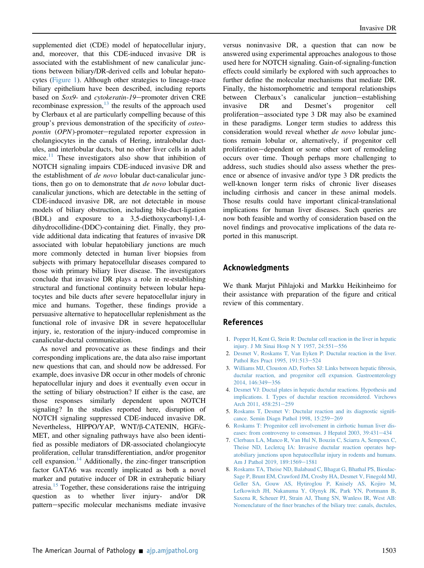supplemented diet (CDE) model of hepatocellular injury, and, moreover, that this CDE-induced invasive DR is associated with the establishment of new canalicular junctions between biliary/DR-derived cells and lobular hepatocytes ([Figure 1](#page-1-1)). Although other strategies to lineage-trace biliary epithelium have been described, including reports based on Sox9- and cytokeratin-19-promoter driven CRE recombinase expression, $^{13}$  $^{13}$  $^{13}$  the results of the approach used by Clerbaux et al are particularly compelling because of this group's previous demonstration of the specificity of osteo*pontin*  $(OPN)$ -promoter-regulated reporter expression in cholangiocytes in the canals of Hering, intralobular ductules, and interlobular ducts, but no other liver cells in adult mice.<sup>[11](#page-3-1)</sup> These investigators also show that inhibition of NOTCH signaling impairs CDE-induced invasive DR and the establishment of *de novo* lobular duct-canalicular junctions, then go on to demonstrate that *de novo* lobular ductcanalicular junctions, which are detectable in the setting of CDE-induced invasive DR, are not detectable in mouse models of biliary obstruction, including bile-duct-ligation (BDL) and exposure to a 3,5-diethoxycarbonyl-1,4 dihydrocollidine-(DDC)-containing diet. Finally, they provide additional data indicating that features of invasive DR associated with lobular hepatobiliary junctions are much more commonly detected in human liver biopsies from subjects with primary hepatocellular diseases compared to those with primary biliary liver disease. The investigators conclude that invasive DR plays a role in re-establishing structural and functional continuity between lobular hepatocytes and bile ducts after severe hepatocellular injury in mice and humans. Together, these findings provide a persuasive alternative to hepatocellular replenishment as the functional role of invasive DR in severe hepatocellular injury, ie, restoration of the injury-induced compromise in canalicular-ductal communication.

As novel and provocative as these findings and their corresponding implications are, the data also raise important new questions that can, and should now be addressed. For example, does invasive DR occur in other models of chronic hepatocellular injury and does it eventually even occur in the setting of biliary obstruction? If either is the case, are those responses similarly dependent upon NOTCH signaling? In the studies reported here, disruption of NOTCH signaling suppressed CDE-induced invasive DR. Nevertheless, HIPPO/YAP, WNT/b-CATENIN, HGF/c-MET, and other signaling pathways have also been identified as possible mediators of DR-associated cholangiocyte proliferation, cellular transdifferentiation, and/or progenitor cell expansion. $14$  Additionally, the zinc-finger transcription factor GATA6 was recently implicated as both a novel marker and putative inducer of DR in extrahepatic biliary atresia.<sup>[15](#page-3-4)</sup> Together, these considerations raise the intriguing question as to whether liver injury- and/or DR pattern-specific molecular mechanisms mediate invasive

versus noninvasive DR, a question that can now be answered using experimental approaches analogous to those used here for NOTCH signaling. Gain-of-signaling-function effects could similarly be explored with such approaches to further define the molecular mechanisms that mediate DR. Finally, the histomorphometric and temporal relationships between Clerbaux's canalicular junction-establishing invasive DR and Desmet's progenitor cell proliferation-associated type 3 DR may also be examined in these paradigms. Longer term studies to address this consideration would reveal whether *de novo* lobular junctions remain lobular or, alternatively, if progenitor cell proliferation-dependent or some other sort of remodeling occurs over time. Though perhaps more challenging to address, such studies should also assess whether the presence or absence of invasive and/or type 3 DR predicts the well-known longer term risks of chronic liver diseases including cirrhosis and cancer in these animal models. Those results could have important clinical-translational implications for human liver diseases. Such queries are now both feasible and worthy of consideration based on the novel findings and provocative implications of the data reported in this manuscript.

### Acknowledgments

We thank Marjut Pihlajoki and Markku Heikinheimo for their assistance with preparation of the figure and critical review of this commentary.

### <span id="page-2-0"></span>References

- <span id="page-2-1"></span>1. [Popper H, Kent G, Stein R: Ductular cell reaction in the liver in hepatic](http://refhub.elsevier.com/S0002-9440(19)30435-3/sref1) [injury. J Mt Sinai Hosp N Y 1957, 24:551](http://refhub.elsevier.com/S0002-9440(19)30435-3/sref1)-[556](http://refhub.elsevier.com/S0002-9440(19)30435-3/sref1)
- 2. [Desmet V, Roskams T, Van Eyken P: Ductular reaction in the liver.](http://refhub.elsevier.com/S0002-9440(19)30435-3/sref2) [Pathol Res Pract 1995, 191:513](http://refhub.elsevier.com/S0002-9440(19)30435-3/sref2)-[524](http://refhub.elsevier.com/S0002-9440(19)30435-3/sref2)
- <span id="page-2-2"></span>3. [Williams MJ, Clouston AD, Forbes SJ: Links between hepatic](http://refhub.elsevier.com/S0002-9440(19)30435-3/sref3) fibrosis, [ductular reaction, and progenitor cell expansion. Gastroenterology](http://refhub.elsevier.com/S0002-9440(19)30435-3/sref3) [2014, 146:349](http://refhub.elsevier.com/S0002-9440(19)30435-3/sref3)-[356](http://refhub.elsevier.com/S0002-9440(19)30435-3/sref3)
- <span id="page-2-3"></span>4. [Desmet VJ: Ductal plates in hepatic ductular reactions. Hypothesis and](http://refhub.elsevier.com/S0002-9440(19)30435-3/sref4) [implications. I. Types of ductular reaction reconsidered. Virchows](http://refhub.elsevier.com/S0002-9440(19)30435-3/sref4) [Arch 2011, 458:251](http://refhub.elsevier.com/S0002-9440(19)30435-3/sref4)-[259](http://refhub.elsevier.com/S0002-9440(19)30435-3/sref4)
- 5. [Roskams T, Desmet V: Ductular reaction and its diagnostic signi](http://refhub.elsevier.com/S0002-9440(19)30435-3/sref5)ficance. Semin Diagn Pathol 1998,  $15:259-269$  $15:259-269$
- <span id="page-2-4"></span>6. [Roskams T: Progenitor cell involvement in cirrhotic human liver dis](http://refhub.elsevier.com/S0002-9440(19)30435-3/sref6)[eases: from controversy to consensus. J Hepatol 2003, 39:431](http://refhub.elsevier.com/S0002-9440(19)30435-3/sref6)-[434](http://refhub.elsevier.com/S0002-9440(19)30435-3/sref6)
- <span id="page-2-5"></span>7. [Clerbaux LA, Manco R, Van Hul N, Bouzin C, Sciarra A, Sempoux C,](http://refhub.elsevier.com/S0002-9440(19)30435-3/sref7) [Theise ND, Leclercq IA: Invasive ductular reaction operates hep](http://refhub.elsevier.com/S0002-9440(19)30435-3/sref7)[atobiliary junctions upon hepatocellular injury in rodents and humans.](http://refhub.elsevier.com/S0002-9440(19)30435-3/sref7) [Am J Pathol 2019, 189:1569](http://refhub.elsevier.com/S0002-9440(19)30435-3/sref7)-[1581](http://refhub.elsevier.com/S0002-9440(19)30435-3/sref7)
- 8. [Roskams TA, Theise ND, Balabaud C, Bhagat G, Bhathal PS, Bioulac-](http://refhub.elsevier.com/S0002-9440(19)30435-3/sref8)[Sage P, Brunt EM, Crawford JM, Crosby HA, Desmet V, Finegold MJ,](http://refhub.elsevier.com/S0002-9440(19)30435-3/sref8) [Geller SA, Gouw AS, Hytiroglou P, Knisely AS, Kojiro M,](http://refhub.elsevier.com/S0002-9440(19)30435-3/sref8) [Lefkowitch JH, Nakanuma Y, Olynyk JK, Park YN, Portmann B,](http://refhub.elsevier.com/S0002-9440(19)30435-3/sref8) [Saxena R, Scheuer PJ, Strain AJ, Thung SN, Wanless IR, West AB:](http://refhub.elsevier.com/S0002-9440(19)30435-3/sref8) Nomenclature of the fi[ner branches of the biliary tree: canals, ductules,](http://refhub.elsevier.com/S0002-9440(19)30435-3/sref8)